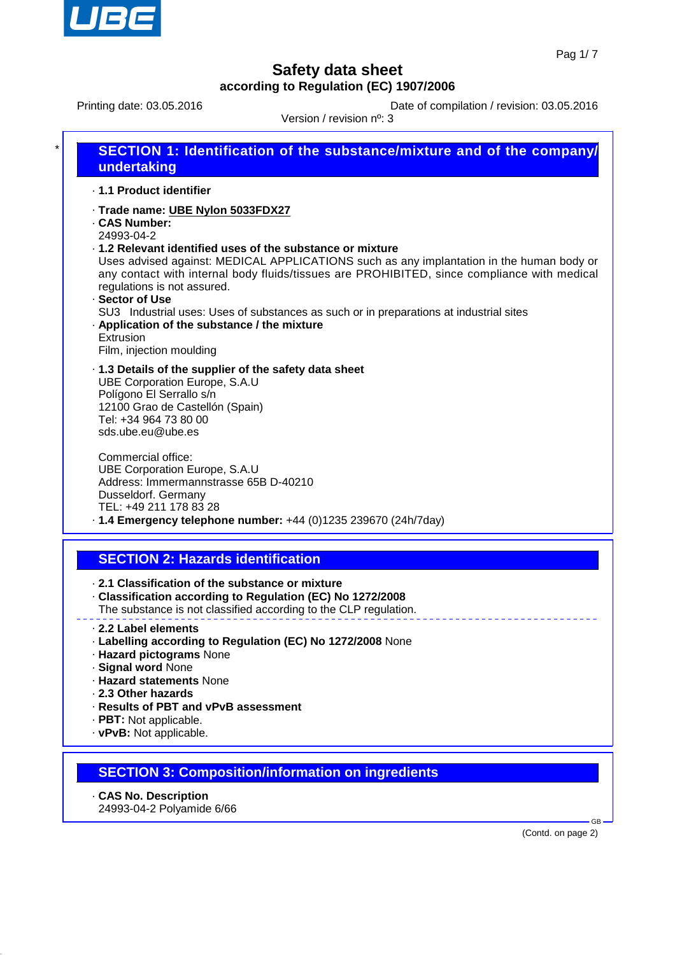

Printing date: 03.05.2016<br>
Version / revision plu 2

Version / revision nº: 3

| Version / revision n°: 3                                         |                                                                                                                                                                                                                                                                                                                                                                                                                                                                                                 |  |
|------------------------------------------------------------------|-------------------------------------------------------------------------------------------------------------------------------------------------------------------------------------------------------------------------------------------------------------------------------------------------------------------------------------------------------------------------------------------------------------------------------------------------------------------------------------------------|--|
|                                                                  | <b>SECTION 1: Identification of the substance/mixture and of the company/</b><br>undertaking                                                                                                                                                                                                                                                                                                                                                                                                    |  |
|                                                                  | · 1.1 Product identifier                                                                                                                                                                                                                                                                                                                                                                                                                                                                        |  |
| <b>CAS Number:</b><br>24993-04-2<br>· Sector of Use<br>Extrusion | · Trade name: UBE Nylon 5033FDX27<br>. 1.2 Relevant identified uses of the substance or mixture<br>Uses advised against: MEDICAL APPLICATIONS such as any implantation in the human body or<br>any contact with internal body fluids/tissues are PROHIBITED, since compliance with medical<br>regulations is not assured.<br>SU3 Industrial uses: Uses of substances as such or in preparations at industrial sites<br>. Application of the substance / the mixture<br>Film, injection moulding |  |
|                                                                  | .1.3 Details of the supplier of the safety data sheet<br><b>UBE Corporation Europe, S.A.U</b><br>Polígono El Serrallo s/n<br>12100 Grao de Castellón (Spain)<br>Tel: +34 964 73 80 00<br>sds.ube.eu@ube.es                                                                                                                                                                                                                                                                                      |  |
|                                                                  | Commercial office:<br><b>UBE Corporation Europe, S.A.U</b><br>Address: Immermannstrasse 65B D-40210<br>Dusseldorf. Germany<br>TEL: +49 211 178 83 28<br>$\cdot$ 1.4 Emergency telephone number: +44 (0)1235 239670 (24h/7day)                                                                                                                                                                                                                                                                   |  |
|                                                                  | <b>SECTION 2: Hazards identification</b>                                                                                                                                                                                                                                                                                                                                                                                                                                                        |  |
|                                                                  | 2.1 Classification of the substance or mixture<br>· Classification according to Regulation (EC) No 1272/2008<br>The substance is not classified according to the CLP regulation.                                                                                                                                                                                                                                                                                                                |  |
|                                                                  | 2.2 Label elements<br>· Labelling according to Regulation (EC) No 1272/2008 None<br>- Hazard pictograms None<br>· Signal word None<br>· Hazard statements None<br>2.3 Other hazards<br>· Results of PBT and vPvB assessment<br>· PBT: Not applicable.<br>· vPvB: Not applicable.                                                                                                                                                                                                                |  |

# **SECTION 3: Composition/information on ingredients**

- · **CAS No. Description**
- 24993-04-2 Polyamide 6/66

(Contd. on page 2)

GB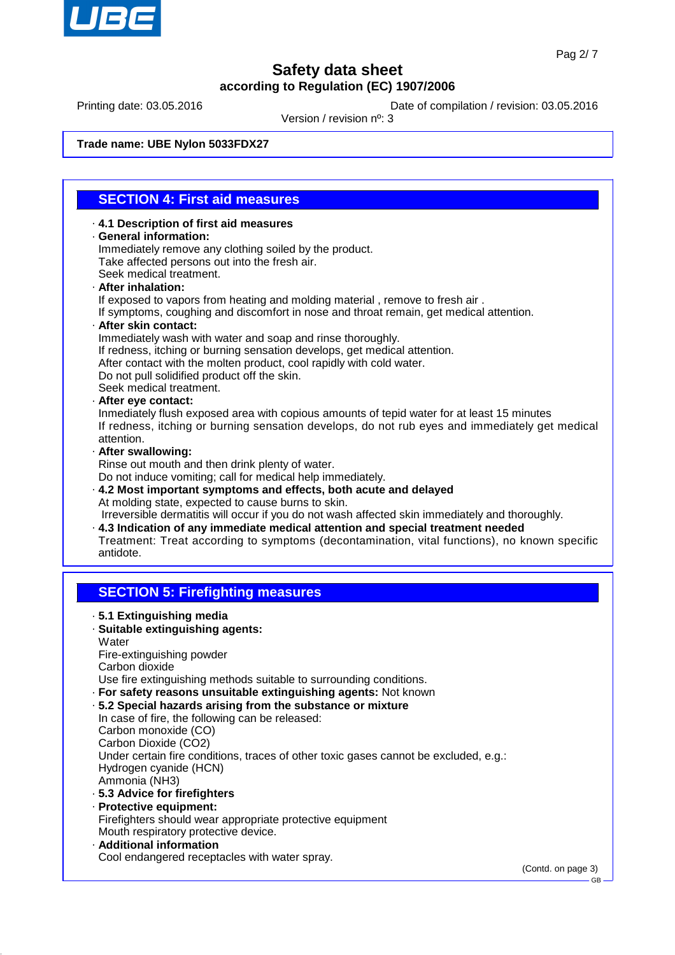

Printing date: 03.05.2016 **Date of compilation / revision: 03.05.2016** 

Version / revision nº: 3

**Trade name: UBE Nylon 5033FDX27**

### **SECTION 4: First aid measures**

· **4.1 Description of first aid measures** · **General information:** Immediately remove any clothing soiled by the product. Take affected persons out into the fresh air. Seek medical treatment.

### · **After inhalation:**

If exposed to vapors from heating and molding material , remove to fresh air .

If symptoms, coughing and discomfort in nose and throat remain, get medical attention.

#### · **After skin contact:**

Immediately wash with water and soap and rinse thoroughly.

- If redness, itching or burning sensation develops, get medical attention.
- After contact with the molten product, cool rapidly with cold water.
- Do not pull solidified product off the skin.

Seek medical treatment.

#### · **After eye contact:**

Inmediately flush exposed area with copious amounts of tepid water for at least 15 minutes If redness, itching or burning sensation develops, do not rub eyes and immediately get medical attention.

#### · **After swallowing:**

Rinse out mouth and then drink plenty of water.

Do not induce vomiting; call for medical help immediately.

· **4.2 Most important symptoms and effects, both acute and delayed** At molding state, expected to cause burns to skin.

 Irreversible dermatitis will occur if you do not wash affected skin immediately and thoroughly. · **4.3 Indication of any immediate medical attention and special treatment needed**

Treatment: Treat according to symptoms (decontamination, vital functions), no known specific antidote.

### **SECTION 5: Firefighting measures**

- · **5.1 Extinguishing media** · **Suitable extinguishing agents: Water** Fire-extinguishing powder Carbon dioxide Use fire extinguishing methods suitable to surrounding conditions. · **For safety reasons unsuitable extinguishing agents:** Not known · **5.2 Special hazards arising from the substance or mixture** In case of fire, the following can be released: Carbon monoxide (CO) Carbon Dioxide (CO2) Under certain fire conditions, traces of other toxic gases cannot be excluded, e.g.: Hydrogen cyanide (HCN) Ammonia (NH3) · **5.3 Advice for firefighters** · **Protective equipment:**
	- Firefighters should wear appropriate protective equipment Mouth respiratory protective device.
- · **Additional information** Cool endangered receptacles with water spray.

(Contd. on page 3)

GB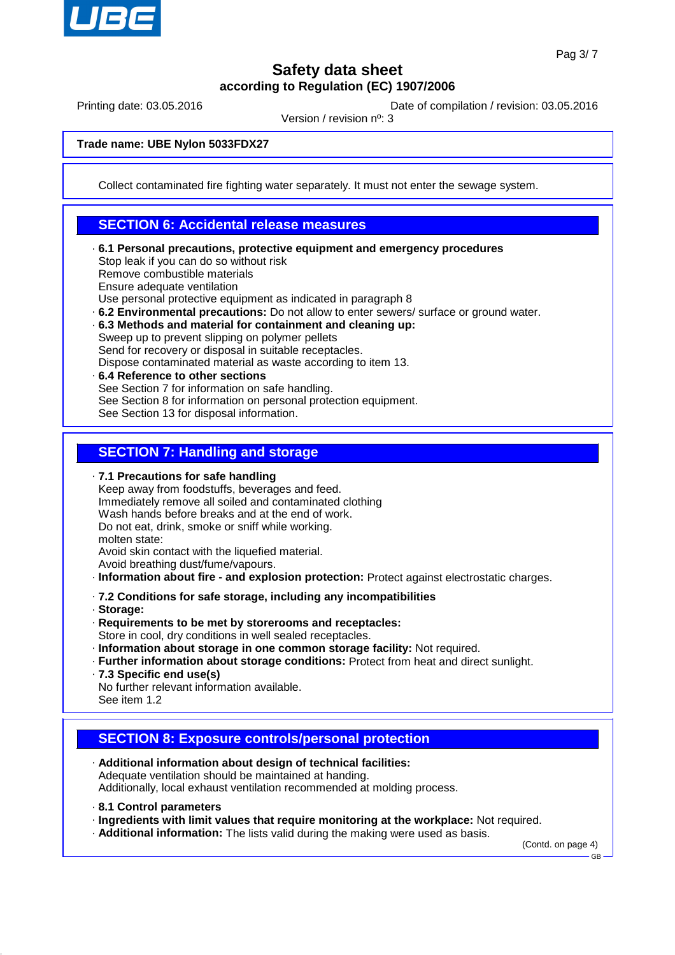

Printing date: 03.05.2016 **Date of compilation / revision: 03.05.2016** 

Version / revision nº: 3

**Trade name: UBE Nylon 5033FDX27**

Collect contaminated fire fighting water separately. It must not enter the sewage system.

### **SECTION 6: Accidental release measures**

- · **6.1 Personal precautions, protective equipment and emergency procedures** Stop leak if you can do so without risk Remove combustible materials Ensure adequate ventilation Use personal protective equipment as indicated in paragraph 8
- · **6.2 Environmental precautions:** Do not allow to enter sewers/ surface or ground water.
- · **6.3 Methods and material for containment and cleaning up:** Sweep up to prevent slipping on polymer pellets

Send for recovery or disposal in suitable receptacles.

- Dispose contaminated material as waste according to item 13.
- · **6.4 Reference to other sections** See Section 7 for information on safe handling. See Section 8 for information on personal protection equipment. See Section 13 for disposal information.

### **SECTION 7: Handling and storage**

· **7.1 Precautions for safe handling**

- Keep away from foodstuffs, beverages and feed. Immediately remove all soiled and contaminated clothing Wash hands before breaks and at the end of work. Do not eat, drink, smoke or sniff while working. molten state: Avoid skin contact with the liquefied material.
- Avoid breathing dust/fume/vapours.
- · **Information about fire and explosion protection:** Protect against electrostatic charges.
- · **7.2 Conditions for safe storage, including any incompatibilities**
- · **Storage:**
- · **Requirements to be met by storerooms and receptacles:**
- Store in cool, dry conditions in well sealed receptacles.
- · **Information about storage in one common storage facility:** Not required.
- · **Further information about storage conditions:** Protect from heat and direct sunlight.
- · **7.3 Specific end use(s)**
- No further relevant information available. See item 1.2
- **SECTION 8: Exposure controls/personal protection**
- · **Additional information about design of technical facilities:** Adequate ventilation should be maintained at handing. Additionally, local exhaust ventilation recommended at molding process.
- · **8.1 Control parameters**
- · **Ingredients with limit values that require monitoring at the workplace:** Not required.
- · **Additional information:** The lists valid during the making were used as basis.

(Contd. on page 4)

GB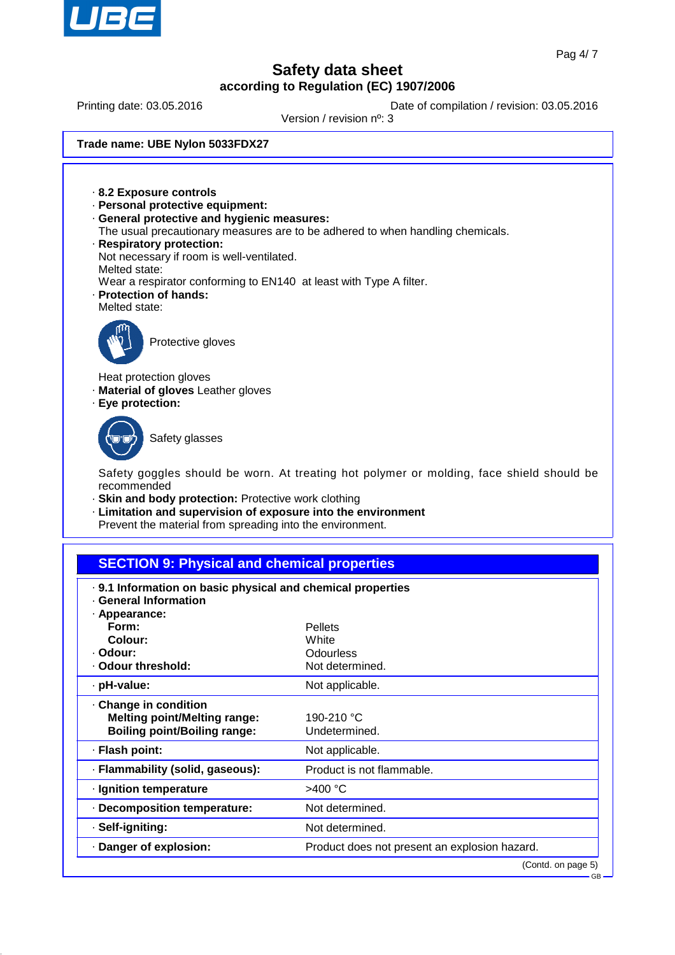

Printing date: 03.05.2016 **Date of compilation / revision: 03.05.2016** 

Version / revision nº: 3

**Trade name: UBE Nylon 5033FDX27**

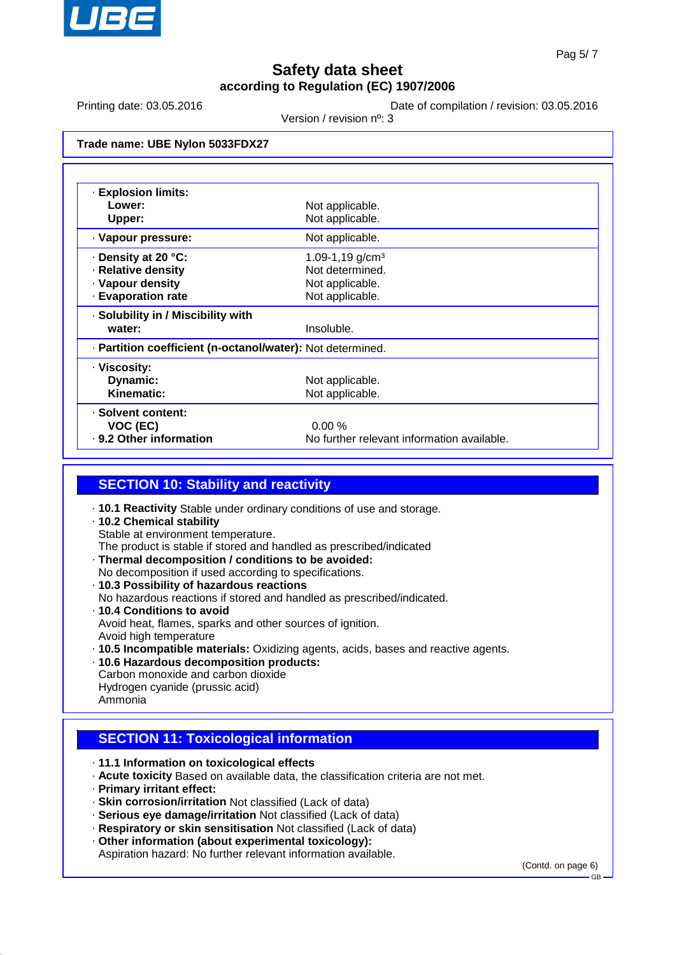

Printing date: 03.05.2016 **Date of compilation / revision: 03.05.2016** 

Version / revision nº: 3

**Trade name: UBE Nylon 5033FDX27**

| <b>Explosion limits:</b>                                   |                                            |  |  |  |
|------------------------------------------------------------|--------------------------------------------|--|--|--|
| Lower:                                                     | Not applicable.                            |  |  |  |
| Upper:                                                     | Not applicable.                            |  |  |  |
| · Vapour pressure:                                         | Not applicable.                            |  |  |  |
| ⋅ Density at 20 °C:                                        | 1.09-1,19 g/cm <sup>3</sup>                |  |  |  |
| · Relative density                                         | Not determined.                            |  |  |  |
| · Vapour density                                           | Not applicable.                            |  |  |  |
| <b>Evaporation rate</b>                                    | Not applicable.                            |  |  |  |
| · Solubility in / Miscibility with                         |                                            |  |  |  |
| water:                                                     | Insoluble.                                 |  |  |  |
| · Partition coefficient (n-octanol/water): Not determined. |                                            |  |  |  |
| · Viscosity:                                               |                                            |  |  |  |
| Dynamic:                                                   | Not applicable.                            |  |  |  |
| Kinematic:                                                 | Not applicable.                            |  |  |  |
| · Solvent content:                                         |                                            |  |  |  |
| VOC (EC)                                                   | 0.00%                                      |  |  |  |
| . 9.2 Other information                                    | No further relevant information available. |  |  |  |

### **SECTION 10: Stability and reactivity**

- · **10.1 Reactivity** Stable under ordinary conditions of use and storage.
- · **10.2 Chemical stability** Stable at environment temperature. The product is stable if stored and handled as prescribed/indicated
- · **Thermal decomposition / conditions to be avoided:** No decomposition if used according to specifications.
- · **10.3 Possibility of hazardous reactions**
- No hazardous reactions if stored and handled as prescribed/indicated. · **10.4 Conditions to avoid** Avoid heat, flames, sparks and other sources of ignition. Avoid high temperature
- · **10.5 Incompatible materials:** Oxidizing agents, acids, bases and reactive agents.
- · **10.6 Hazardous decomposition products:** Carbon monoxide and carbon dioxide Hydrogen cyanide (prussic acid)

### Ammonia

## **SECTION 11: Toxicological information**

- · **11.1 Information on toxicological effects**
- · **Acute toxicity** Based on available data, the classification criteria are not met.
- · **Primary irritant effect:**
- · **Skin corrosion/irritation** Not classified (Lack of data)
- · **Serious eye damage/irritation** Not classified (Lack of data)
- · **Respiratory or skin sensitisation** Not classified (Lack of data)
- · **Other information (about experimental toxicology):**

Aspiration hazard: No further relevant information available.

(Contd. on page 6)

GB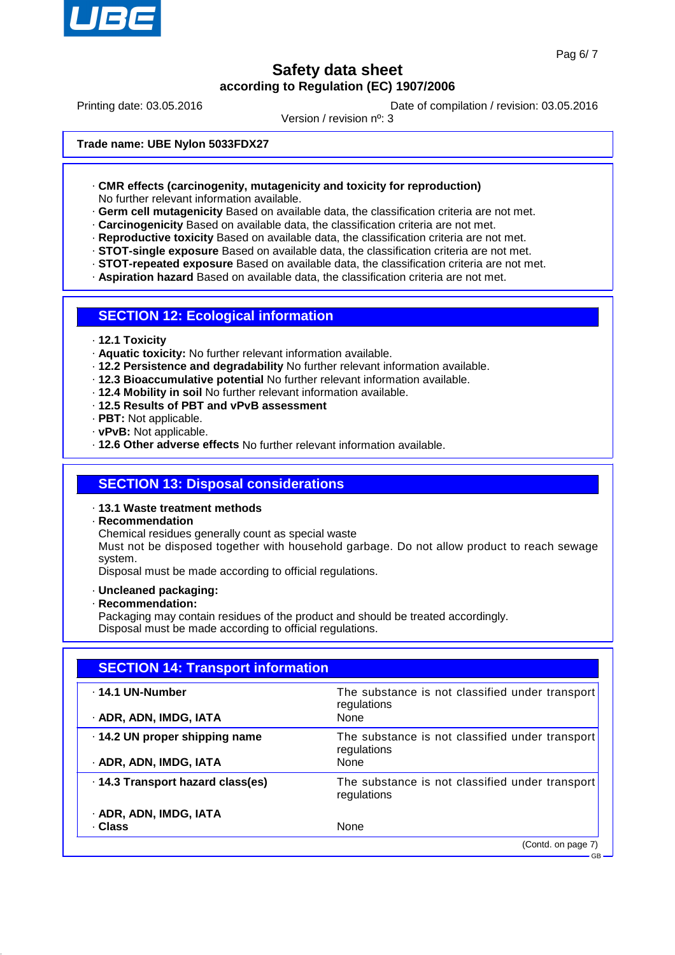

Printing date: 03.05.2016 **Date of compilation / revision: 03.05.2016** 

Version / revision nº: 3

**Trade name: UBE Nylon 5033FDX27**

- · **CMR effects (carcinogenity, mutagenicity and toxicity for reproduction)** No further relevant information available.
- · **Germ cell mutagenicity** Based on available data, the classification criteria are not met.
- · **Carcinogenicity** Based on available data, the classification criteria are not met.
- · **Reproductive toxicity** Based on available data, the classification criteria are not met.
- · **STOT-single exposure** Based on available data, the classification criteria are not met.
- · **STOT-repeated exposure** Based on available data, the classification criteria are not met.
- · **Aspiration hazard** Based on available data, the classification criteria are not met.

#### **SECTION 12: Ecological information**

- · **12.1 Toxicity**
- · **Aquatic toxicity:** No further relevant information available.
- · **12.2 Persistence and degradability** No further relevant information available.
- · **12.3 Bioaccumulative potential** No further relevant information available.
- · **12.4 Mobility in soil** No further relevant information available.
- · **12.5 Results of PBT and vPvB assessment**
- · **PBT:** Not applicable.
- · **vPvB:** Not applicable.
- · **12.6 Other adverse effects** No further relevant information available.

### **SECTION 13: Disposal considerations**

- · **13.1 Waste treatment methods**
- · **Recommendation**
- Chemical residues generally count as special waste

Must not be disposed together with household garbage. Do not allow product to reach sewage system.

Disposal must be made according to official regulations.

- · **Uncleaned packaging:**
- · **Recommendation:**
- Packaging may contain residues of the product and should be treated accordingly. Disposal must be made according to official regulations.

| <b>SECTION 14: Transport information</b> |                                                                |  |  |
|------------------------------------------|----------------------------------------------------------------|--|--|
| - 14.1 UN-Number                         | The substance is not classified under transport<br>regulations |  |  |
| · ADR, ADN, IMDG, IATA                   | None                                                           |  |  |
| 14.2 UN proper shipping name             | The substance is not classified under transport<br>regulations |  |  |
| · ADR, ADN, IMDG, IATA                   | None                                                           |  |  |
| · 14.3 Transport hazard class(es)        | The substance is not classified under transport<br>regulations |  |  |
| · ADR, ADN, IMDG, IATA                   |                                                                |  |  |
| · Class                                  | None                                                           |  |  |
|                                          | (Contd. on page 7)                                             |  |  |